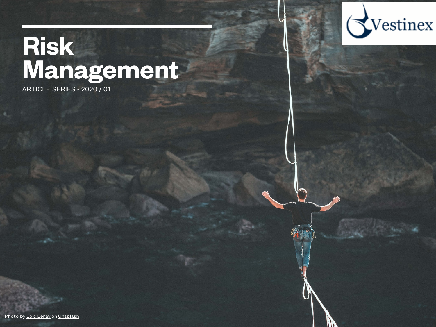# **Risk Management**

ARTICLE SERIES - 2020 / 01

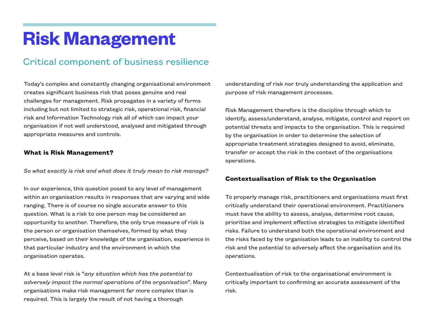## **Risk Management**

### Critical component of business resilience

Today's complex and constantly changing organisational environment creates significant business risk that poses genuine and real challenges for management. Risk propagates in a variety of forms including but not limited to strategic risk, operational risk, financial risk and Information Technology risk all of which can impact your organisation if not well understood, analysed and mitigated through appropriate measures and controls.

#### **What is Risk Management?**

*So what exactly is risk and what does it truly mean to risk manage?* 

In our experience, this question posed to any level of management within an organisation results in responses that are varying and wide ranging. There is of course no single accurate answer to this question. What is a risk to one person may be considered an opportunity to another. Therefore, the only true measure of risk is the person or organisation themselves, formed by what they perceive, based on their knowledge of the organisation, experience in that particular industry and the environment in which the organisation operates.

At a base level risk is "*any situation which has the potential to adversely impact the normal operations of the organisation*". Many organisations make risk management far more complex than is required. This is largely the result of not having a thorough

understanding of risk nor truly understanding the application and purpose of risk management processes.

Risk Management therefore is the discipline through which to identify, assess/understand, analyse, mitigate, control and report on potential threats and impacts to the organisation. This is required by the organisation in order to determine the selection of appropriate treatment strategies designed to avoid, eliminate, transfer or accept the risk in the context of the organisations operations.

#### **Contextualisation of Risk to the Organisation**

To properly manage risk, practitioners and organisations must first critically understand their operational environment. Practitioners must have the ability to assess, analyse, determine root cause, prioritise and implement effective strategies to mitigate identified risks. Failure to understand both the operational environment and the risks faced by the organisation leads to an inability to control the risk and the potential to adversely affect the organisation and its operations.

Contextualisation of risk to the organisational environment is critically important to confirming an accurate assessment of the risk.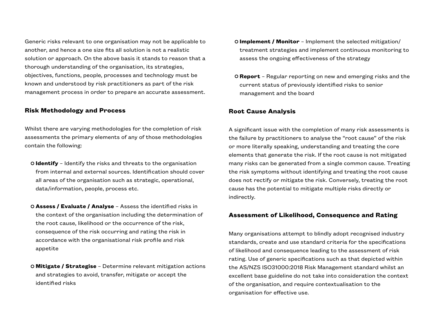Generic risks relevant to one organisation may not be applicable to another, and hence a one size fits all solution is not a realistic solution or approach. On the above basis it stands to reason that a thorough understanding of the organisation, its strategies, objectives, functions, people, processes and technology must be known and understood by risk practitioners as part of the risk management process in order to prepare an accurate assessment.

#### **Risk Methodology and Process**

Whilst there are varying methodologies for the completion of risk assessments the primary elements of any of those methodologies contain the following:

- **Identify** Identify the risks and threats to the organisation from internal and external sources. Identification should cover all areas of the organisation such as strategic, operational, data/information, people, process etc.
- **Assess / Evaluate / Analyse**  Assess the identified risks in the context of the organisation including the determination of the root cause, likelihood or the occurrence of the risk, consequence of the risk occurring and rating the risk in accordance with the organisational risk profile and risk appetite
- **Mitigate / Strategise** Determine relevant mitigation actions and strategies to avoid, transfer, mitigate or accept the identified risks
- **Implement / Monitor** Implement the selected mitigation/ treatment strategies and implement continuous monitoring to assess the ongoing effectiveness of the strategy
- **Report** Regular reporting on new and emerging risks and the current status of previously identified risks to senior management and the board

#### **Root Cause Analysis**

A significant issue with the completion of many risk assessments is the failure by practitioners to analyse the "root cause" of the risk or more literally speaking, understanding and treating the core elements that generate the risk. If the root cause is not mitigated many risks can be generated from a single common cause. Treating the risk symptoms without identifying and treating the root cause does not rectify or mitigate the risk. Conversely, treating the root cause has the potential to mitigate multiple risks directly or indirectly.

#### **Assessment of Likelihood, Consequence and Rating**

Many organisations attempt to blindly adopt recognised industry standards, create and use standard criteria for the specifications of likelihood and consequence leading to the assessment of risk rating. Use of generic specifications such as that depicted within the AS/NZS ISO31000:2018 Risk Management standard whilst an excellent base guideline do not take into consideration the context of the organisation, and require contextualisation to the organisation for effective use.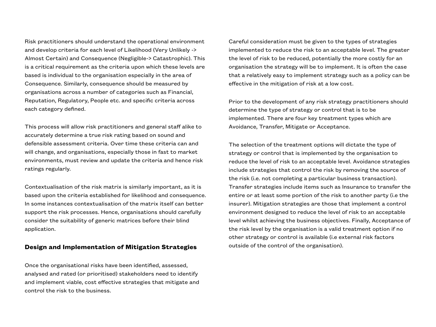Risk practitioners should understand the operational environment and develop criteria for each level of Likelihood (Very Unlikely -> Almost Certain) and Consequence (Negligible-> Catastrophic). This is a critical requirement as the criteria upon which these levels are based is individual to the organisation especially in the area of Consequence. Similarly, consequence should be measured by organisations across a number of categories such as Financial, Reputation, Regulatory, People etc. and specific criteria across each category defined.

This process will allow risk practitioners and general staff alike to accurately determine a true risk rating based on sound and defensible assessment criteria. Over time these criteria can and will change, and organisations, especially those in fast to market environments, must review and update the criteria and hence risk ratings regularly.

Contextualisation of the risk matrix is similarly important, as it is based upon the criteria established for likelihood and consequence. In some instances contextualisation of the matrix itself can better support the risk processes. Hence, organisations should carefully consider the suitability of generic matrices before their blind application.

#### **Design and Implementation of Mitigation Strategies**

Once the organisational risks have been identified, assessed, analysed and rated (or prioritised) stakeholders need to identify and implement viable, cost effective strategies that mitigate and control the risk to the business.

Careful consideration must be given to the types of strategies implemented to reduce the risk to an acceptable level. The greater the level of risk to be reduced, potentially the more costly for an organisation the strategy will be to implement. It is often the case that a relatively easy to implement strategy such as a policy can be effective in the mitigation of risk at a low cost.

Prior to the development of any risk strategy practitioners should determine the type of strategy or control that is to be implemented. There are four key treatment types which are Avoidance, Transfer, Mitigate or Acceptance.

The selection of the treatment options will dictate the type of strategy or control that is implemented by the organisation to reduce the level of risk to an acceptable level. Avoidance strategies include strategies that control the risk by removing the source of the risk (i.e. not completing a particular business transaction). Transfer strategies include items such as Insurance to transfer the entire or at least some portion of the risk to another party (i.e the insurer). Mitigation strategies are those that implement a control environment designed to reduce the level of risk to an acceptable level whilst achieving the business objectives. Finally, Acceptance of the risk level by the organisation is a valid treatment option if no other strategy or control is available (i.e external risk factors outside of the control of the organisation).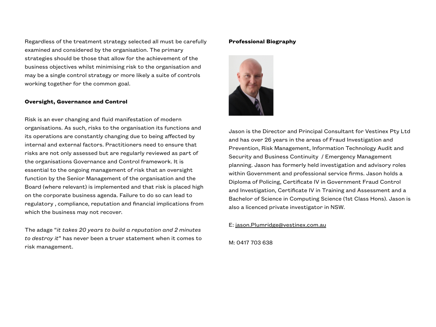Regardless of the treatment strategy selected all must be carefully examined and considered by the organisation. The primary strategies should be those that allow for the achievement of the business objectives whilst minimising risk to the organisation and may be a single control strategy or more likely a suite of controls working together for the common goal.

#### **Oversight, Governance and Control**

Risk is an ever changing and fluid manifestation of modern organisations. As such, risks to the organisation its functions and its operations are constantly changing due to being affected by internal and external factors. Practitioners need to ensure that risks are not only assessed but are regularly reviewed as part of the organisations Governance and Control framework. It is essential to the ongoing management of risk that an oversight function by the Senior Management of the organisation and the Board (where relevant) is implemented and that risk is placed high on the corporate business agenda. Failure to do so can lead to regulatory , compliance, reputation and financial implications from which the business may not recover.

The adage "*it takes 20 years to build a reputation and 2 minutes to destroy it*" has never been a truer statement when it comes to risk management.

#### **Professional Biography**



Jason is the Director and Principal Consultant for Vestinex Pty Ltd and has over 26 years in the areas of Fraud Investigation and Prevention, Risk Management, Information Technology Audit and Security and Business Continuity / Emergency Management planning. Jason has formerly held investigation and advisory roles within Government and professional service firms. Jason holds a Diploma of Policing, Certificate IV in Government Fraud Control and Investigation, Certificate IV in Training and Assessment and a Bachelor of Science in Computing Science (1st Class Hons). Jason is also a licenced private investigator in NSW.

E: [jason.Plumridge@vestinex.com.au](mailto:jason.Plumridge@vestinex.com.au)

M: 0417 703 638